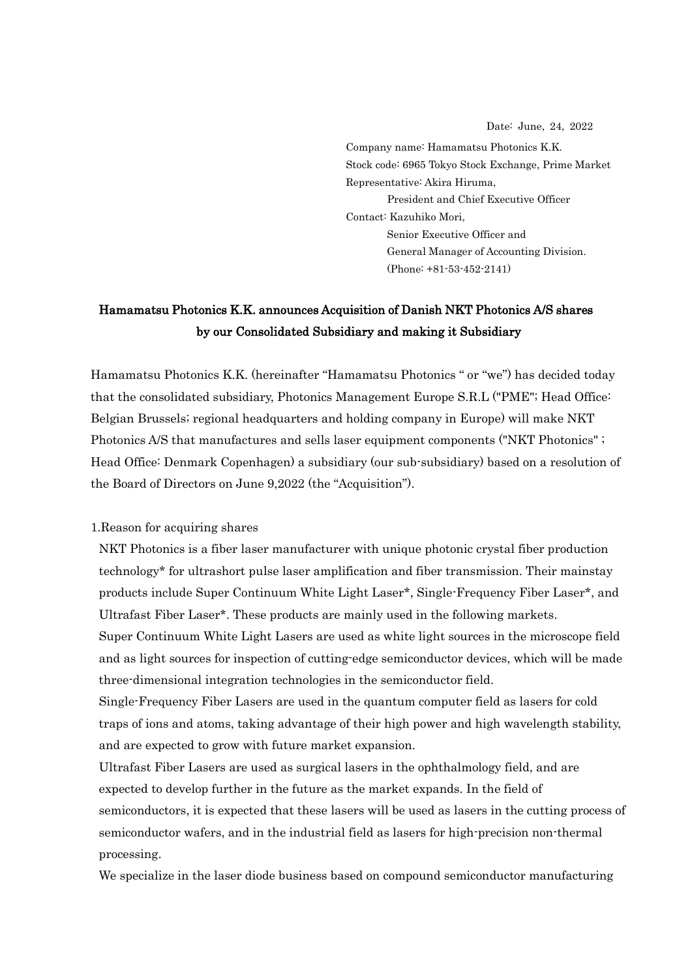Date: June, 24, 2022

Company name: Hamamatsu Photonics K.K. Stock code: 6965 Tokyo Stock Exchange, Prime Market Representative: Akira Hiruma, President and Chief Executive Officer Contact: Kazuhiko Mori, Senior Executive Officer and General Manager of Accounting Division. (Phone: +81-53-452-2141)

# Hamamatsu Photonics K.K. announces Acquisition of Danish NKT Photonics A/S shares by our Consolidated Subsidiary and making it Subsidiary

Hamamatsu Photonics K.K. (hereinafter "Hamamatsu Photonics " or "we") has decided today that the consolidated subsidiary, Photonics Management Europe S.R.L ("PME"; Head Office: Belgian Brussels; regional headquarters and holding company in Europe) will make NKT Photonics A/S that manufactures and sells laser equipment components ("NKT Photonics" ; Head Office: Denmark Copenhagen) a subsidiary (our sub-subsidiary) based on a resolution of the Board of Directors on June 9,2022 (the "Acquisition").

#### 1.Reason for acquiring shares

NKT Photonics is a fiber laser manufacturer with unique photonic crystal fiber production technology\* for ultrashort pulse laser amplification and fiber transmission. Their mainstay products include Super Continuum White Light Laser\*, Single-Frequency Fiber Laser\*, and Ultrafast Fiber Laser\*. These products are mainly used in the following markets.

Super Continuum White Light Lasers are used as white light sources in the microscope field and as light sources for inspection of cutting-edge semiconductor devices, which will be made three-dimensional integration technologies in the semiconductor field.

Single-Frequency Fiber Lasers are used in the quantum computer field as lasers for cold traps of ions and atoms, taking advantage of their high power and high wavelength stability, and are expected to grow with future market expansion.

Ultrafast Fiber Lasers are used as surgical lasers in the ophthalmology field, and are expected to develop further in the future as the market expands. In the field of semiconductors, it is expected that these lasers will be used as lasers in the cutting process of semiconductor wafers, and in the industrial field as lasers for high-precision non-thermal processing.

We specialize in the laser diode business based on compound semiconductor manufacturing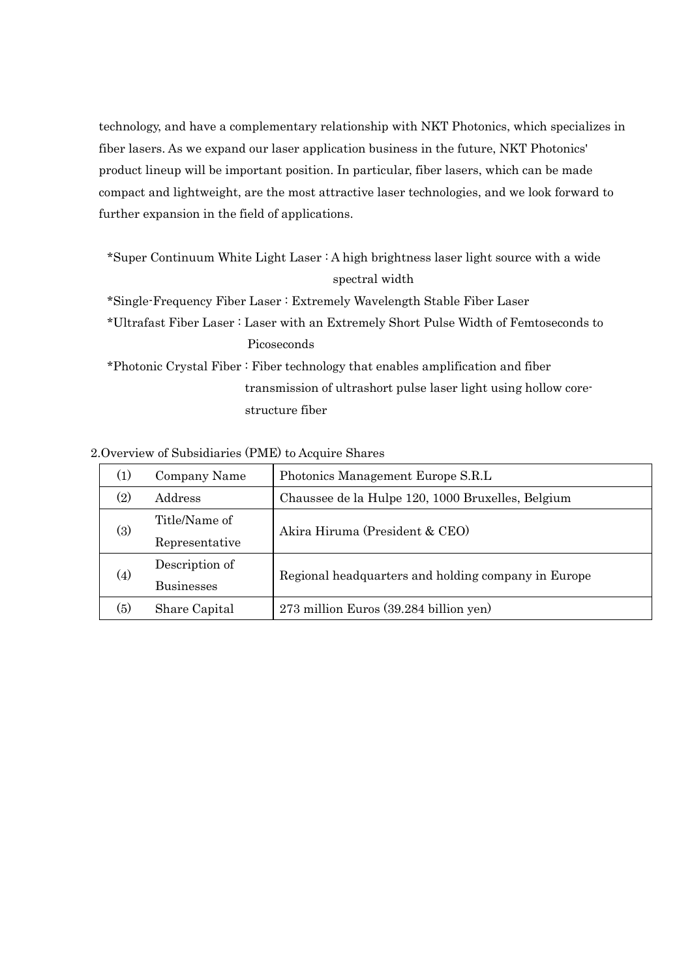technology, and have a complementary relationship with NKT Photonics, which specializes in fiber lasers. As we expand our laser application business in the future, NKT Photonics' product lineup will be important position. In particular, fiber lasers, which can be made compact and lightweight, are the most attractive laser technologies, and we look forward to further expansion in the field of applications.

\*Super Continuum White Light Laser : A high brightness laser light source with a wide spectral width

\*Single-Frequency Fiber Laser : Extremely Wavelength Stable Fiber Laser

\*Ultrafast Fiber Laser : Laser with an Extremely Short Pulse Width of Femtoseconds to Picoseconds

\*Photonic Crystal Fiber : Fiber technology that enables amplification and fiber transmission of ultrashort pulse laser light using hollow corestructure fiber

## 2.Overview of Subsidiaries (PME) to Acquire Shares

| (1)               | Company Name      | Photonics Management Europe S.R.L                   |  |
|-------------------|-------------------|-----------------------------------------------------|--|
| (2)               | Address           | Chaussee de la Hulpe 120, 1000 Bruxelles, Belgium   |  |
| (3)               | Title/Name of     | Akira Hiruma (President & CEO)                      |  |
|                   | Representative    |                                                     |  |
| $\left( 4\right)$ | Description of    | Regional headquarters and holding company in Europe |  |
|                   | <b>Businesses</b> |                                                     |  |
| (5)               | Share Capital     | 273 million Euros (39.284 billion yen)              |  |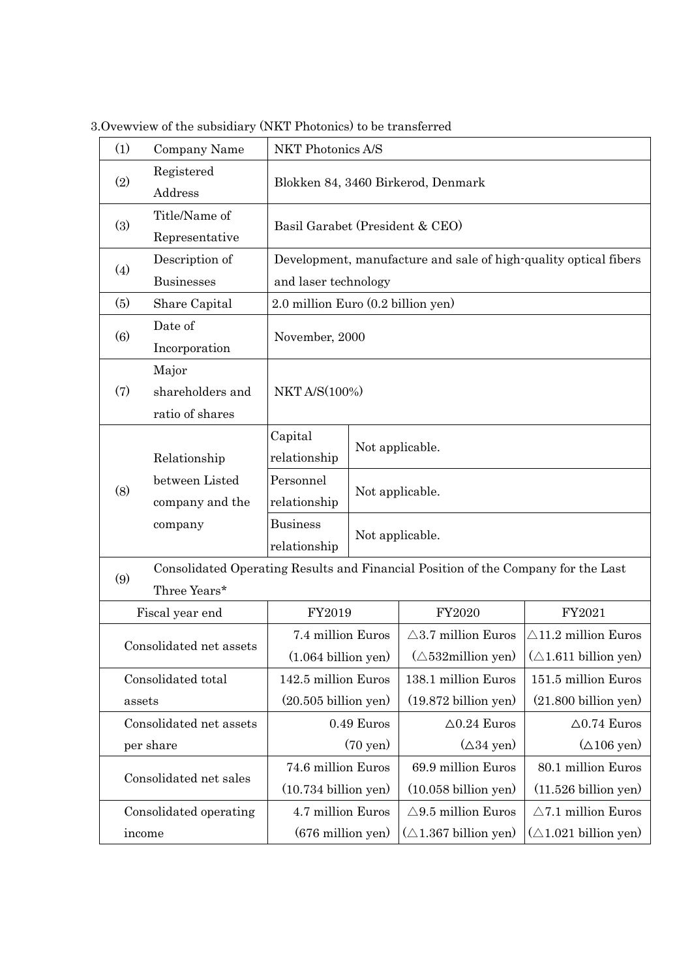| (1)                     | Company Name            | NKT Photonics A/S                                                |                                    |                                                                                   |                                                               |
|-------------------------|-------------------------|------------------------------------------------------------------|------------------------------------|-----------------------------------------------------------------------------------|---------------------------------------------------------------|
| Registered<br>(2)       |                         | Blokken 84, 3460 Birkerod, Denmark                               |                                    |                                                                                   |                                                               |
|                         | Address                 |                                                                  |                                    |                                                                                   |                                                               |
| (3)                     | Title/Name of           | Basil Garabet (President & CEO)                                  |                                    |                                                                                   |                                                               |
|                         | Representative          |                                                                  |                                    |                                                                                   |                                                               |
| (4)                     | Description of          | Development, manufacture and sale of high-quality optical fibers |                                    |                                                                                   |                                                               |
|                         | <b>Businesses</b>       | and laser technology                                             |                                    |                                                                                   |                                                               |
| (5)                     | Share Capital           | 2.0 million Euro (0.2 billion yen)                               |                                    |                                                                                   |                                                               |
| (6)                     | Date of                 | November, 2000                                                   |                                    |                                                                                   |                                                               |
|                         | Incorporation           |                                                                  |                                    |                                                                                   |                                                               |
|                         | Major                   | <b>NKT A/S(100%)</b>                                             |                                    |                                                                                   |                                                               |
| (7)                     | shareholders and        |                                                                  |                                    |                                                                                   |                                                               |
|                         | ratio of shares         |                                                                  |                                    |                                                                                   |                                                               |
|                         | Relationship            | Capital                                                          | Not applicable.                    |                                                                                   |                                                               |
|                         |                         | relationship                                                     |                                    |                                                                                   |                                                               |
| (8)                     | between Listed          | Personnel                                                        | Not applicable.<br>Not applicable. |                                                                                   |                                                               |
|                         | company and the         | relationship                                                     |                                    |                                                                                   |                                                               |
|                         | company                 | <b>Business</b>                                                  |                                    |                                                                                   |                                                               |
|                         |                         | relationship                                                     |                                    |                                                                                   |                                                               |
| (9)                     |                         |                                                                  |                                    | Consolidated Operating Results and Financial Position of the Company for the Last |                                                               |
|                         | Three Years*            |                                                                  |                                    |                                                                                   |                                                               |
|                         | Fiscal year end         | FY2019                                                           |                                    | FY2020                                                                            | FY2021                                                        |
|                         | Consolidated net assets | 7.4 million Euros                                                |                                    | $\triangle$ 3.7 million Euros                                                     | $\triangle$ 11.2 million Euros                                |
|                         |                         | $(1.064 \text{ billion yen})$                                    |                                    |                                                                                   | $(\triangle 532$ million yen) $(\triangle 1.611$ billion yen) |
| Consolidated total      |                         | 142.5 million Euros                                              |                                    | 138.1 million Euros                                                               | 151.5 million Euros                                           |
| assets                  |                         | $(20.505\text{ billion yen})$                                    |                                    | $(19.872$ billion yen)                                                            | $(21.800 billion$ yen)                                        |
| Consolidated net assets |                         | 0.49 Euros                                                       |                                    | $\Delta 0.24$ Euros                                                               | $\Delta 0.74$ Euros                                           |
| per share               |                         | $(70 \text{ yen})$                                               |                                    | $(\Delta 34 \text{ yen})$                                                         | $(\triangle 106$ yen)                                         |
| Consolidated net sales  |                         | 74.6 million Euros                                               |                                    | 69.9 million Euros                                                                | 80.1 million Euros                                            |
|                         |                         | $(10.734 \text{ billion yen})$                                   |                                    | $(10.058 \text{ billion yen})$                                                    | $(11.526 \text{ billion yen})$                                |
| Consolidated operating  |                         | 4.7 million Euros                                                |                                    | $\triangle$ 9.5 million Euros                                                     | $\triangle$ 7.1 million Euros                                 |
| income                  |                         | $(676$ million yen $)$                                           |                                    | $(\triangle 1.367 \text{ billion yen})$                                           | $(\triangle 1.021$ billion yen)                               |

3.Ovewview of the subsidiary (NKT Photonics) to be transferred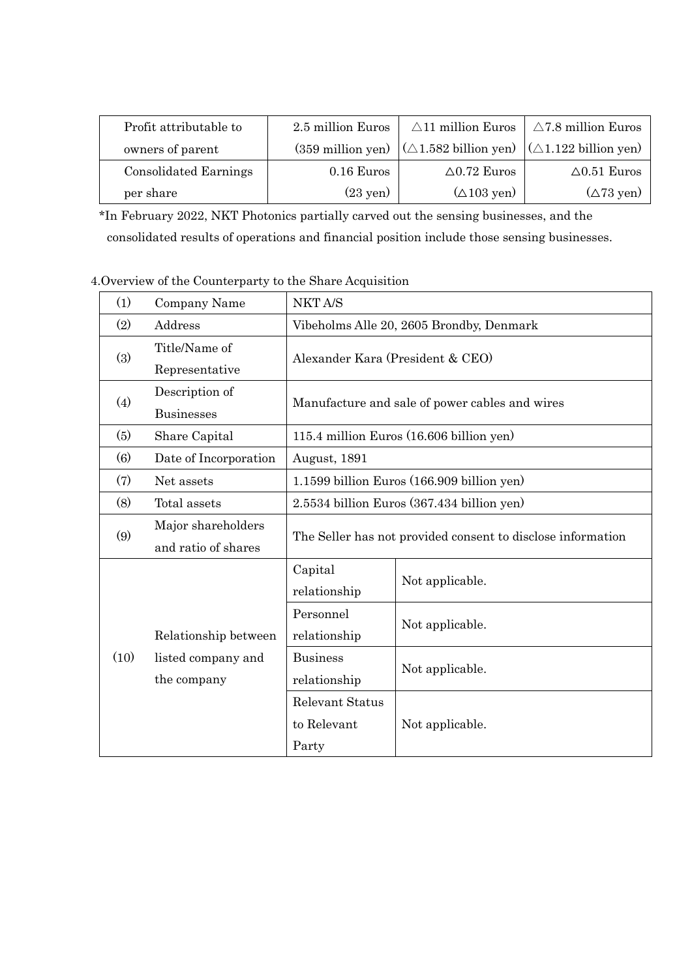| Profit attributable to       | 2.5 million Euros           | $\triangle$ 11 million Euros                                                    | $\triangle$ 7.8 million Euros |
|------------------------------|-----------------------------|---------------------------------------------------------------------------------|-------------------------------|
| owners of parent             | $(359 \text{ million yen})$ | $(\triangle 1.582 \text{ billion yen})$ $(\triangle 1.122 \text{ billion yen})$ |                               |
| <b>Consolidated Earnings</b> | $0.16$ Euros                | $\triangle$ 0.72 Euros                                                          | $\Delta 0.51$ Euros           |
| per share                    | $(23 \text{ yen})$          | $(\Delta 103 \text{ yen})$                                                      | $(\Delta 73 \text{ yen})$     |

\*In February 2022, NKT Photonics partially carved out the sensing businesses, and the consolidated results of operations and financial position include those sensing businesses.

4.Overview of the Counterparty to the Share Acquisition

| (1)  | Company Name          | NKT A/S                                                     |                 |  |
|------|-----------------------|-------------------------------------------------------------|-----------------|--|
| (2)  | Address               | Vibeholms Alle 20, 2605 Brondby, Denmark                    |                 |  |
| (3)  | Title/Name of         | Alexander Kara (President & CEO)                            |                 |  |
|      | Representative        |                                                             |                 |  |
| (4)  | Description of        | Manufacture and sale of power cables and wires              |                 |  |
|      | <b>Businesses</b>     |                                                             |                 |  |
| (5)  | Share Capital         | 115.4 million Euros (16.606 billion yen)                    |                 |  |
| (6)  | Date of Incorporation | August, 1891                                                |                 |  |
| (7)  | Net assets            | 1.1599 billion Euros (166.909 billion yen)                  |                 |  |
| (8)  | Total assets          | 2.5534 billion Euros (367.434 billion yen)                  |                 |  |
|      | Major shareholders    |                                                             |                 |  |
| (9)  | and ratio of shares   | The Seller has not provided consent to disclose information |                 |  |
|      | Relationship between  | Capital                                                     | Not applicable. |  |
|      |                       | relationship                                                |                 |  |
|      |                       | Personnel                                                   |                 |  |
| (10) |                       | relationship                                                | Not applicable. |  |
|      | listed company and    | <b>Business</b>                                             | Not applicable. |  |
|      | the company           | relationship                                                |                 |  |
|      |                       | Relevant Status                                             |                 |  |
|      |                       | to Relevant                                                 | Not applicable. |  |
|      |                       | Party                                                       |                 |  |